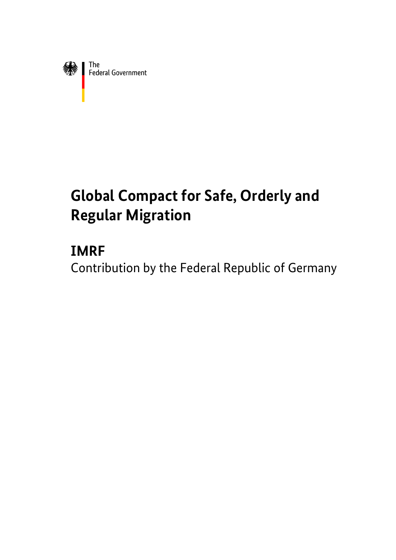

# **Global Compact for Safe, Orderly and Regular Migration**

# **IMRF**

Contribution by the Federal Republic of Germany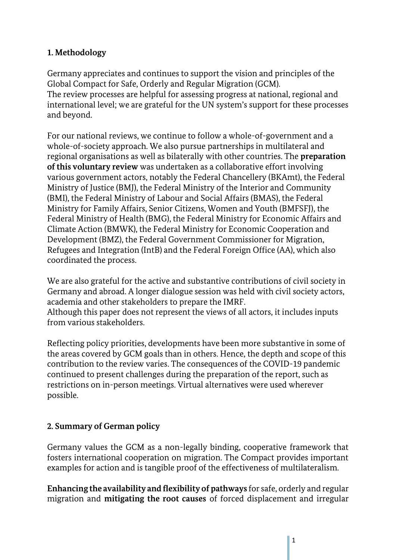# **1. Methodology**

Germany appreciates and continues to support the vision and principles of the Global Compact for Safe, Orderly and Regular Migration (GCM). The review processes are helpful for assessing progress at national, regional and international level; we are grateful for the UN system's support for these processes and beyond.

For our national reviews, we continue to follow a whole-of-government and a whole-of-society approach. We also pursue partnerships in multilateral and regional organisations as well as bilaterally with other countries. The **preparation of this voluntary review** was undertaken as a collaborative effort involving various government actors, notably the Federal Chancellery (BKAmt), the Federal Ministry of Justice (BMJ), the Federal Ministry of the Interior and Community (BMI), the Federal Ministry of Labour and Social Affairs (BMAS), the Federal Ministry for Family Affairs, Senior Citizens, Women and Youth (BMFSFJ), the Federal Ministry of Health (BMG), the Federal Ministry for Economic Affairs and Climate Action (BMWK), the Federal Ministry for Economic Cooperation and Development (BMZ), the Federal Government Commissioner for Migration, Refugees and Integration (IntB) and the Federal Foreign Office (AA), which also coordinated the process.

We are also grateful for the active and substantive contributions of civil society in Germany and abroad. A longer dialogue session was held with civil society actors, academia and other stakeholders to prepare the IMRF. Although this paper does not represent the views of all actors, it includes inputs from various stakeholders.

Reflecting policy priorities, developments have been more substantive in some of the areas covered by GCM goals than in others. Hence, the depth and scope of this contribution to the review varies. The consequences of the COVID-19 pandemic continued to present challenges during the preparation of the report, such as restrictions on in-person meetings. Virtual alternatives were used wherever possible.

# **2. Summary of German policy**

Germany values the GCM as a non-legally binding, cooperative framework that fosters international cooperation on migration. The Compact provides important examples for action and is tangible proof of the effectiveness of multilateralism.

**Enhancing the availability and flexibility of pathways** for safe, orderly and regular migration and **mitigating the root causes** of forced displacement and irregular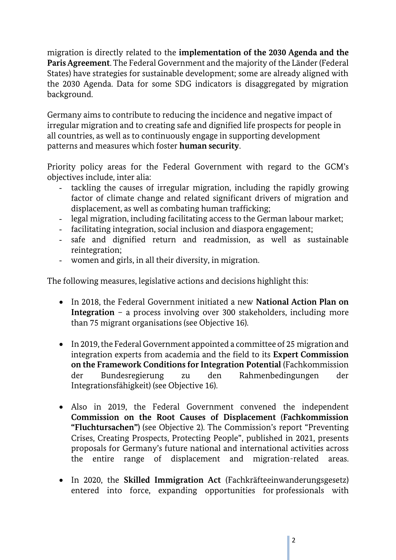migration is directly related to the **implementation of the 2030 Agenda and the Paris Agreement**. The Federal Government and the majority of the Länder (Federal States) have strategies for sustainable development; some are already aligned with the 2030 Agenda. Data for some SDG indicators is disaggregated by migration background.

Germany aims to contribute to reducing the incidence and negative impact of irregular migration and to creating safe and dignified life prospects for people in all countries, as well as to continuously engage in supporting development patterns and measures which foster **human security**.

Priority policy areas for the Federal Government with regard to the GCM's objectives include, inter alia:

- tackling the causes of irregular migration, including the rapidly growing factor of climate change and related significant drivers of migration and displacement, as well as combating human trafficking;
- legal migration, including facilitating access to the German labour market;
- facilitating integration, social inclusion and diaspora engagement;
- safe and dignified return and readmission, as well as sustainable reintegration;
- women and girls, in all their diversity, in migration.

The following measures, legislative actions and decisions highlight this:

- In 2018, the Federal Government initiated a new **National Action Plan on Integration** – a process involving over 300 stakeholders, including more than 75 migrant organisations (see Objective 16).
- In 2019, the Federal Government appointed a committee of 25 migration and integration experts from academia and the field to its **Expert Commission on the Framework Conditions for Integration Potential** (Fachkommission der Bundesregierung zu den Rahmenbedingungen der Integrationsfähigkeit) (see Objective 16).
- Also in 2019, the Federal Government convened the independent **Commission on the Root Causes of Displacement (Fachkommission "Fluchtursachen")** (see Objective 2). The Commission's report "Preventing Crises, Creating Prospects, Protecting People", published in 2021, presents proposals for Germany's future national and international activities across the entire range of displacement and migration-related areas.
- In 2020, the **Skilled Immigration Act** (Fachkräfteeinwanderungsgesetz) entered into force, expanding opportunities for professionals with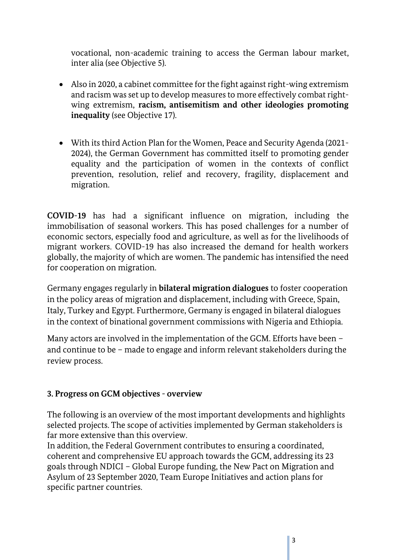vocational, non-academic training to access the German labour market, inter alia (see Objective 5).

- Also in 2020, a cabinet committee for the fight against right-wing extremism and racism was set up to develop measures to more effectively combat rightwing extremism, **racism, antisemitism and other ideologies promoting inequality** (see Objective 17).
- With its third Action Plan for the Women, Peace and Security Agenda (2021- 2024), the German Government has committed itself to promoting gender equality and the participation of women in the contexts of conflict prevention, resolution, relief and recovery, fragility, displacement and migration.

**COVID-19** has had a significant influence on migration, including the immobilisation of seasonal workers. This has posed challenges for a number of economic sectors, especially food and agriculture, as well as for the livelihoods of migrant workers. COVID-19 has also increased the demand for health workers globally, the majority of which are women. The pandemic has intensified the need for cooperation on migration.

Germany engages regularly in **bilateral migration dialogues** to foster cooperation in the policy areas of migration and displacement, including with Greece, Spain, Italy, Turkey and Egypt. Furthermore, Germany is engaged in bilateral dialogues in the context of binational government commissions with Nigeria and Ethiopia.

Many actors are involved in the implementation of the GCM. Efforts have been – and continue to be – made to engage and inform relevant stakeholders during the review process.

# **3. Progress on GCM objectives - overview**

The following is an overview of the most important developments and highlights selected projects. The scope of activities implemented by German stakeholders is far more extensive than this overview.

In addition, the Federal Government contributes to ensuring a coordinated, coherent and comprehensive EU approach towards the GCM, addressing its 23 goals through NDICI – Global Europe funding, the New Pact on Migration and Asylum of 23 September 2020, Team Europe Initiatives and action plans for specific partner countries.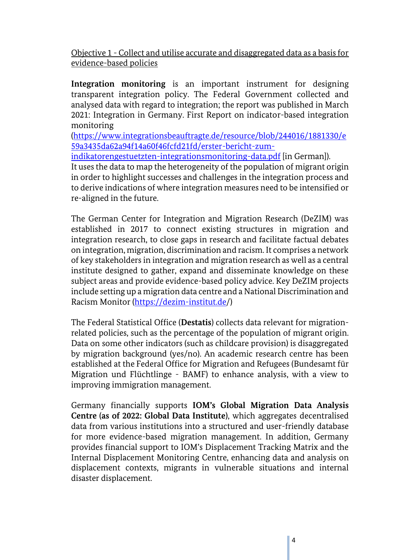Objective 1 - Collect and utilise accurate and disaggregated data as a basis for evidence-based policies

**Integration monitoring** is an important instrument for designing transparent integration policy. The Federal Government collected and analysed data with regard to integration; the report was published in March 2021: Integration in Germany. First Report on indicator-based integration monitoring

[\(https://www.integrationsbeauftragte.de/resource/blob/244016/1881330/e](https://www.integrationsbeauftragte.de/resource/blob/244016/1881330/e59a3435da62a94f14a60f46fcfd21fd/erster-bericht-zum-indikatorengestuetzten-integrationsmonitoring-data.pdf) [59a3435da62a94f14a60f46fcfd21fd/erster-bericht-zum-](https://www.integrationsbeauftragte.de/resource/blob/244016/1881330/e59a3435da62a94f14a60f46fcfd21fd/erster-bericht-zum-indikatorengestuetzten-integrationsmonitoring-data.pdf)

[indikatorengestuetzten-integrationsmonitoring-data.pdf](https://www.integrationsbeauftragte.de/resource/blob/244016/1881330/e59a3435da62a94f14a60f46fcfd21fd/erster-bericht-zum-indikatorengestuetzten-integrationsmonitoring-data.pdf) [in German]).

It uses the data to map the heterogeneity of the population of migrant origin in order to highlight successes and challenges in the integration process and to derive indications of where integration measures need to be intensified or re-aligned in the future.

The German Center for Integration and Migration Research (DeZIM) was established in 2017 to connect existing structures in migration and integration research, to close gaps in research and facilitate factual debates on integration, migration, discrimination and racism. It comprises a network of key stakeholders in integration and migration research as well as a central institute designed to gather, expand and disseminate knowledge on these subject areas and provide evidence-based policy advice. Key DeZIM projects include setting up a migration data centre and a National Discrimination and Racism Monitor [\(https://dezim-institut.de/](https://dezim-institut.de/))

The Federal Statistical Office (**Destatis**) collects data relevant for migrationrelated policies, such as the percentage of the population of migrant origin. Data on some other indicators (such as childcare provision) is disaggregated by migration background (yes/no). An academic research centre has been established at the Federal Office for Migration and Refugees (Bundesamt für Migration und Flüchtlinge - BAMF) to enhance analysis, with a view to improving immigration management.

Germany financially supports **IOM's Global Migration Data Analysis Centre (as of 2022: Global Data Institute)**, which aggregates decentralised data from various institutions into a structured and user-friendly database for more evidence-based migration management. In addition, Germany provides financial support to IOM's Displacement Tracking Matrix and the Internal Displacement Monitoring Centre, enhancing data and analysis on displacement contexts, migrants in vulnerable situations and internal disaster displacement.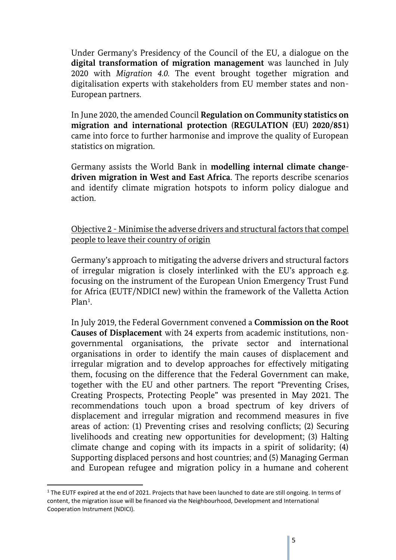Under Germany's Presidency of the Council of the EU, a dialogue on the **digital transformation of migration management** was launched in July 2020 with *Migration 4.0.* The event brought together migration and digitalisation experts with stakeholders from EU member states and non-European partners.

In June 2020, the amended Council **Regulation on Community statistics on migration and international protection (REGULATION (EU) 2020/851)** came into force to further harmonise and improve the quality of European statistics on migration.

Germany assists the World Bank in **modelling internal climate changedriven migration in West and East Africa**. The reports describe scenarios and identify climate migration hotspots to inform policy dialogue and action.

Objective 2 - Minimise the adverse drivers and structural factors that compel people to leave their country of origin

Germany's approach to mitigating the adverse drivers and structural factors of irregular migration is closely interlinked with the EU's approach e.g. focusing on the instrument of the European Union Emergency Trust Fund for Africa (EUTF/NDICI new) within the framework of the Valletta Action Plan<sup>1</sup>.

In July 2019, the Federal Government convened a **Commission on the Root Causes of Displacement** with 24 experts from academic institutions, nongovernmental organisations, the private sector and international organisations in order to identify the main causes of displacement and irregular migration and to develop approaches for effectively mitigating them, focusing on the difference that the Federal Government can make, together with the EU and other partners. The report "Preventing Crises, Creating Prospects, Protecting People" was presented in May 2021. The recommendations touch upon a broad spectrum of key drivers of displacement and irregular migration and recommend measures in five areas of action: (1) Preventing crises and resolving conflicts; (2) Securing livelihoods and creating new opportunities for development; (3) Halting climate change and coping with its impacts in a spirit of solidarity; (4) Supporting displaced persons and host countries; and (5) Managing German and European refugee and migration policy in a humane and coherent

 $\overline{\phantom{a}}$ 

<sup>&</sup>lt;sup>1</sup> The EUTF expired at the end of 2021. Projects that have been launched to date are still ongoing. In terms of content, the migration issue will be financed via the Neighbourhood, Development and International Cooperation Instrument (NDICI).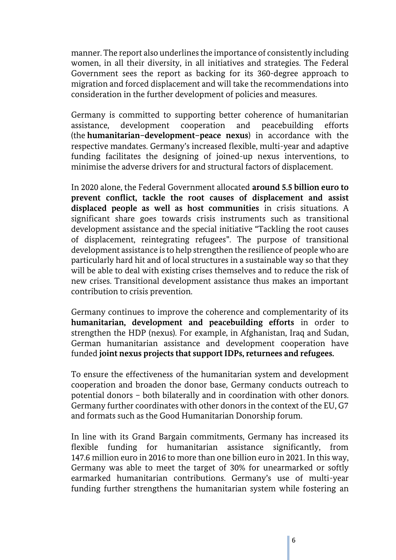manner. The report also underlines the importance of consistently including women, in all their diversity, in all initiatives and strategies. The Federal Government sees the report as backing for its 360-degree approach to migration and forced displacement and will take the recommendations into consideration in the further development of policies and measures.

Germany is committed to supporting better coherence of humanitarian assistance, development cooperation and peacebuilding efforts (the **humanitarian–development–peace nexus**) in accordance with the respective mandates. Germany's increased flexible, multi-year and adaptive funding facilitates the designing of joined-up nexus interventions, to minimise the adverse drivers for and structural factors of displacement.

In 2020 alone, the Federal Government allocated **around 5.5 billion euro to prevent conflict, tackle the root causes of displacement and assist displaced people as well as host communities** in crisis situations. A significant share goes towards crisis instruments such as transitional development assistance and the special initiative "Tackling the root causes of displacement, reintegrating refugees". The purpose of transitional development assistance is to help strengthen the resilience of people who are particularly hard hit and of local structures in a sustainable way so that they will be able to deal with existing crises themselves and to reduce the risk of new crises. Transitional development assistance thus makes an important contribution to crisis prevention.

Germany continues to improve the coherence and complementarity of its **humanitarian, development and peacebuilding efforts** in order to strengthen the HDP (nexus). For example, in Afghanistan, Iraq and Sudan, German humanitarian assistance and development cooperation have funded **joint nexus projects that support IDPs, returnees and refugees.**

To ensure the effectiveness of the humanitarian system and development cooperation and broaden the donor base, Germany conducts outreach to potential donors – both bilaterally and in coordination with other donors. Germany further coordinates with other donors in the context of the EU, G7 and formats such as the Good Humanitarian Donorship forum.

In line with its Grand Bargain commitments, Germany has increased its flexible funding for humanitarian assistance significantly, from 147.6 million euro in 2016 to more than one billion euro in 2021. In this way, Germany was able to meet the target of 30% for unearmarked or softly earmarked humanitarian contributions. Germany's use of multi-year funding further strengthens the humanitarian system while fostering an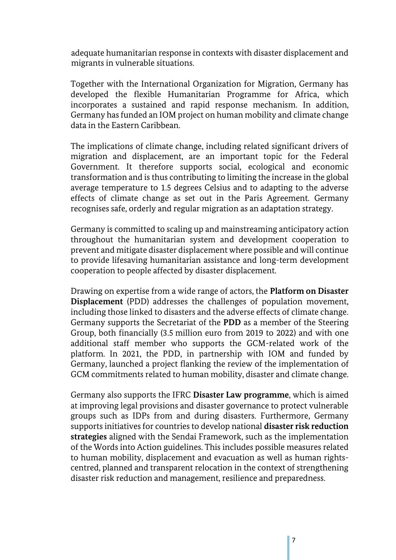adequate humanitarian response in contexts with disaster displacement and migrants in vulnerable situations.

Together with the International Organization for Migration, Germany has developed the flexible Humanitarian Programme for Africa, which incorporates a sustained and rapid response mechanism. In addition, Germany has funded an IOM project on human mobility and climate change data in the Eastern Caribbean.

The implications of climate change, including related significant drivers of migration and displacement, are an important topic for the Federal Government. It therefore supports social, ecological and economic transformation and is thus contributing to limiting the increase in the global average temperature to 1.5 degrees Celsius and to adapting to the adverse effects of climate change as set out in the Paris Agreement. Germany recognises safe, orderly and regular migration as an adaptation strategy.

Germany is committed to scaling up and mainstreaming anticipatory action throughout the humanitarian system and development cooperation to prevent and mitigate disaster displacement where possible and will continue to provide lifesaving humanitarian assistance and long-term development cooperation to people affected by disaster displacement.

Drawing on expertise from a wide range of actors, the **Platform on Disaster Displacement** (PDD) addresses the challenges of population movement, including those linked to disasters and the adverse effects of climate change. Germany supports the Secretariat of the **PDD** as a member of the Steering Group, both financially (3.5 million euro from 2019 to 2022) and with one additional staff member who supports the GCM-related work of the platform. In 2021, the PDD, in partnership with IOM and funded by Germany, launched a project flanking the review of the implementation of GCM commitments related to human mobility, disaster and climate change.

Germany also supports the IFRC **Disaster Law programme**, which is aimed at improving legal provisions and disaster governance to protect vulnerable groups such as IDPs from and during disasters. Furthermore, Germany supports initiatives for countries to develop national **disaster risk reduction strategies** aligned with the Sendai Framework, such as the implementation of the Words into Action guidelines. This includes possible measures related to human mobility, displacement and evacuation as well as human rightscentred, planned and transparent relocation in the context of strengthening disaster risk reduction and management, resilience and preparedness.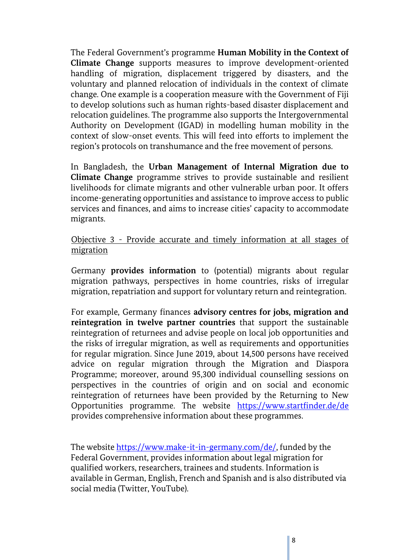The Federal Government's programme **Human Mobility in the Context of Climate Change** supports measures to improve development-oriented handling of migration, displacement triggered by disasters, and the voluntary and planned relocation of individuals in the context of climate change. One example is a cooperation measure with the Government of Fiji to develop solutions such as human rights-based disaster displacement and relocation guidelines. The programme also supports the Intergovernmental Authority on Development (IGAD) in modelling human mobility in the context of slow-onset events. This will feed into efforts to implement the region's protocols on transhumance and the free movement of persons.

In Bangladesh, the **Urban Management of Internal Migration due to Climate Change** programme strives to provide sustainable and resilient livelihoods for climate migrants and other vulnerable urban poor. It offers income-generating opportunities and assistance to improve access to public services and finances, and aims to increase cities' capacity to accommodate migrants.

Objective 3 - Provide accurate and timely information at all stages of migration

Germany **provides information** to (potential) migrants about regular migration pathways, perspectives in home countries, risks of irregular migration, repatriation and support for voluntary return and reintegration.

For example, Germany finances **advisory centres for jobs, migration and reintegration in twelve partner countries** that support the sustainable reintegration of returnees and advise people on local job opportunities and the risks of irregular migration, as well as requirements and opportunities for regular migration. Since June 2019, about 14,500 persons have received advice on regular migration through the Migration and Diaspora Programme; moreover, around 95,300 individual counselling sessions on perspectives in the countries of origin and on social and economic reintegration of returnees have been provided by the Returning to New Opportunities programme. The website <https://www.startfinder.de/de> provides comprehensive information about these programmes.

The website [https://www.make-it-in-germany.com/de/,](https://www.make-it-in-germany.com/de/) funded by the Federal Government, provides information about legal migration for qualified workers, researchers, trainees and students. Information is available in German, English, French and Spanish and is also distributed via social media (Twitter, YouTube).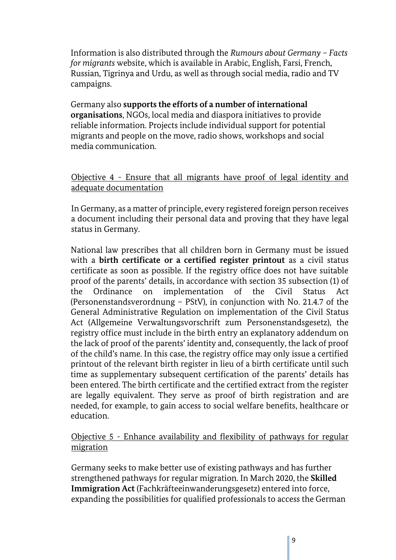Information is also distributed through the *Rumours about Germany – Facts for migrants* website, which is available in Arabic, English, Farsi, French, Russian, Tigrinya and Urdu, as well as through social media, radio and TV campaigns.

Germany also **supports the efforts of a number of international organisations**, NGOs, local media and diaspora initiatives to provide reliable information. Projects include individual support for potential migrants and people on the move, radio shows, workshops and social media communication.

#### Objective 4 - Ensure that all migrants have proof of legal identity and adequate documentation

In Germany, as a matter of principle, every registered foreign person receives a document including their personal data and proving that they have legal status in Germany.

National law prescribes that all children born in Germany must be issued with a **birth certificate or a certified register printout** as a civil status certificate as soon as possible. If the registry office does not have suitable proof of the parents' details, in accordance with section 35 subsection (1) of the Ordinance on implementation of the Civil Status Act (Personenstandsverordnung – PStV), in conjunction with No. 21.4.7 of the General Administrative Regulation on implementation of the Civil Status Act (Allgemeine Verwaltungsvorschrift zum Personenstandsgesetz), the registry office must include in the birth entry an explanatory addendum on the lack of proof of the parents' identity and, consequently, the lack of proof of the child's name. In this case, the registry office may only issue a certified printout of the relevant birth register in lieu of a birth certificate until such time as supplementary subsequent certification of the parents' details has been entered. The birth certificate and the certified extract from the register are legally equivalent. They serve as proof of birth registration and are needed, for example, to gain access to social welfare benefits, healthcare or education.

#### Objective 5 - Enhance availability and flexibility of pathways for regular migration

Germany seeks to make better use of existing pathways and has further strengthened pathways for regular migration. In March 2020, the **Skilled Immigration Act** (Fachkräfteeinwanderungsgesetz) entered into force, expanding the possibilities for qualified professionals to access the German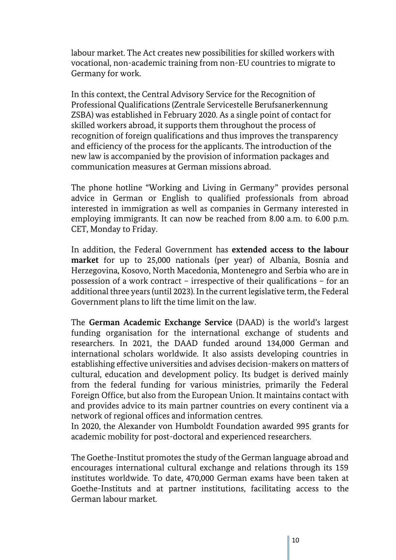labour market. The Act creates new possibilities for skilled workers with vocational, non-academic training from non-EU countries to migrate to Germany for work.

In this context, the Central Advisory Service for the Recognition of Professional Qualifications (Zentrale Servicestelle Berufsanerkennung ZSBA) was established in February 2020. As a single point of contact for skilled workers abroad, it supports them throughout the process of recognition of foreign qualifications and thus improves the transparency and efficiency of the process for the applicants. The introduction of the new law is accompanied by the provision of information packages and communication measures at German missions abroad.

The phone hotline "Working and Living in Germany" provides personal advice in German or English to qualified professionals from abroad interested in immigration as well as companies in Germany interested in employing immigrants. It can now be reached from 8.00 a.m. to 6.00 p.m. CET, Monday to Friday.

In addition, the Federal Government has **extended access to the labour market** for up to 25,000 nationals (per year) of Albania, Bosnia and Herzegovina, Kosovo, North Macedonia, Montenegro and Serbia who are in possession of a work contract – irrespective of their qualifications – for an additional three years (until 2023). In the current legislative term, the Federal Government plans to lift the time limit on the law.

The **German Academic Exchange Service** (DAAD) is the world's largest funding organisation for the international exchange of students and researchers. In 2021, the DAAD funded around 134,000 German and international scholars worldwide. It also assists developing countries in establishing effective universities and advises decision-makers on matters of cultural, education and development policy. Its budget is derived mainly from the federal funding for various ministries, primarily the Federal Foreign Office, but also from the European Union. It maintains contact with and provides advice to its main partner countries on every continent via a network of regional offices and information centres.

In 2020, the Alexander von Humboldt Foundation awarded 995 grants for academic mobility for post-doctoral and experienced researchers.

The Goethe-Institut promotes the study of the German language abroad and encourages international cultural exchange and relations through its 159 institutes worldwide. To date, 470,000 German exams have been taken at Goethe-Instituts and at partner institutions, facilitating access to the German labour market.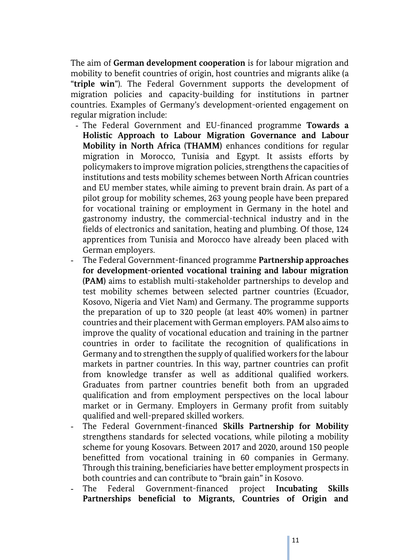The aim of **German development cooperation** is for labour migration and mobility to benefit countries of origin, host countries and migrants alike (a "**triple win**"). The Federal Government supports the development of migration policies and capacity-building for institutions in partner countries. Examples of Germany's development-oriented engagement on regular migration include:

- The Federal Government and EU-financed programme **Towards a Holistic Approach to Labour Migration Governance and Labour Mobility in North Africa (THAMM)** enhances conditions for regular migration in Morocco, Tunisia and Egypt. It assists efforts by policymakers to improve migration policies, strengthens the capacities of institutions and tests mobility schemes between North African countries and EU member states, while aiming to prevent brain drain. As part of a pilot group for mobility schemes, 263 young people have been prepared for vocational training or employment in Germany in the hotel and gastronomy industry, the commercial-technical industry and in the fields of electronics and sanitation, heating and plumbing. Of those, 124 apprentices from Tunisia and Morocco have already been placed with German employers.
- The Federal Government-financed programme **Partnership approaches for development-oriented vocational training and labour migration (PAM)** aims to establish multi-stakeholder partnerships to develop and test mobility schemes between selected partner countries (Ecuador, Kosovo, Nigeria and Viet Nam) and Germany. The programme supports the preparation of up to 320 people (at least 40% women) in partner countries and their placement with German employers. PAM also aims to improve the quality of vocational education and training in the partner countries in order to facilitate the recognition of qualifications in Germany and to strengthen the supply of qualified workers for the labour markets in partner countries. In this way, partner countries can profit from knowledge transfer as well as additional qualified workers. Graduates from partner countries benefit both from an upgraded qualification and from employment perspectives on the local labour market or in Germany. Employers in Germany profit from suitably qualified and well-prepared skilled workers.
- The Federal Government-financed **Skills Partnership for Mobility**  strengthens standards for selected vocations, while piloting a mobility scheme for young Kosovars. Between 2017 and 2020, around 150 people benefitted from vocational training in 60 companies in Germany. Through this training, beneficiaries have better employment prospects in both countries and can contribute to "brain gain" in Kosovo.
- The Federal Government-financed project **Incubating Skills Partnerships beneficial to Migrants, Countries of Origin and**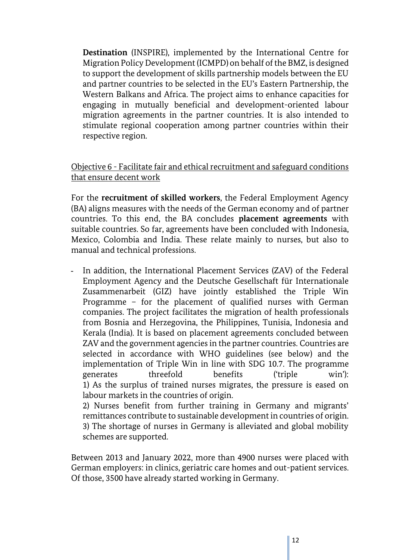**Destination** (INSPIRE), implemented by the International Centre for Migration Policy Development (ICMPD) on behalf of the BMZ, is designed to support the development of skills partnership models between the EU and partner countries to be selected in the EU's Eastern Partnership, the Western Balkans and Africa. The project aims to enhance capacities for engaging in mutually beneficial and development-oriented labour migration agreements in the partner countries. It is also intended to stimulate regional cooperation among partner countries within their respective region.

#### Objective 6 - Facilitate fair and ethical recruitment and safeguard conditions that ensure decent work

For the **recruitment of skilled workers**, the Federal Employment Agency (BA) aligns measures with the needs of the German economy and of partner countries. To this end, the BA concludes **placement agreements** with suitable countries. So far, agreements have been concluded with Indonesia, Mexico, Colombia and India. These relate mainly to nurses, but also to manual and technical professions.

- In addition, the International Placement Services (ZAV) of the Federal Employment Agency and the Deutsche Gesellschaft für Internationale Zusammenarbeit (GIZ) have jointly established the Triple Win Programme – for the placement of qualified nurses with German companies. The project facilitates the migration of health professionals from Bosnia and Herzegovina, the Philippines, Tunisia, Indonesia and Kerala (India). It is based on placement agreements concluded between ZAV and the government agencies in the partner countries. Countries are selected in accordance with WHO guidelines (see below) and the implementation of Triple Win in line with SDG 10.7. The programme generates threefold benefits ('triple win'): 1) As the surplus of trained nurses migrates, the pressure is eased on labour markets in the countries of origin.

2) Nurses benefit from further training in Germany and migrants' remittances contribute to sustainable development in countries of origin. 3) The shortage of nurses in Germany is alleviated and global mobility schemes are supported.

Between 2013 and January 2022, more than 4900 nurses were placed with German employers: in clinics, geriatric care homes and out-patient services. Of those, 3500 have already started working in Germany.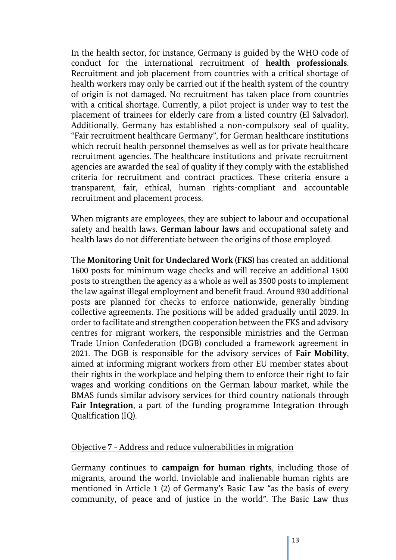In the health sector, for instance, Germany is guided by the WHO code of conduct for the international recruitment of **health professionals**. Recruitment and job placement from countries with a critical shortage of health workers may only be carried out if the health system of the country of origin is not damaged. No recruitment has taken place from countries with a critical shortage. Currently, a pilot project is under way to test the placement of trainees for elderly care from a listed country (El Salvador). Additionally, Germany has established a non-compulsory seal of quality, "Fair recruitment healthcare Germany", for German healthcare institutions which recruit health personnel themselves as well as for private healthcare recruitment agencies. The healthcare institutions and private recruitment agencies are awarded the seal of quality if they comply with the established criteria for recruitment and contract practices. These criteria ensure a transparent, fair, ethical, human rights-compliant and accountable recruitment and placement process.

When migrants are employees, they are subject to labour and occupational safety and health laws. **German labour laws** and occupational safety and health laws do not differentiate between the origins of those employed.

The **Monitoring Unit for Undeclared Work (FKS)** has created an additional 1600 posts for minimum wage checks and will receive an additional 1500 posts to strengthen the agency as a whole as well as 3500 posts to implement the law against illegal employment and benefit fraud. Around 930 additional posts are planned for checks to enforce nationwide, generally binding collective agreements. The positions will be added gradually until 2029. In order to facilitate and strengthen cooperation between the FKS and advisory centres for migrant workers, the responsible ministries and the German Trade Union Confederation (DGB) concluded a framework agreement in 2021. The DGB is responsible for the advisory services of **Fair Mobility**, aimed at informing migrant workers from other EU member states about their rights in the workplace and helping them to enforce their right to fair wages and working conditions on the German labour market, while the BMAS funds similar advisory services for third country nationals through **Fair Integration**, a part of the funding programme Integration through Qualification (IQ).

#### Objective 7 - Address and reduce vulnerabilities in migration

Germany continues to **campaign for human rights**, including those of migrants, around the world. Inviolable and inalienable human rights are mentioned in Article 1 (2) of Germany's Basic Law "as the basis of every community, of peace and of justice in the world". The Basic Law thus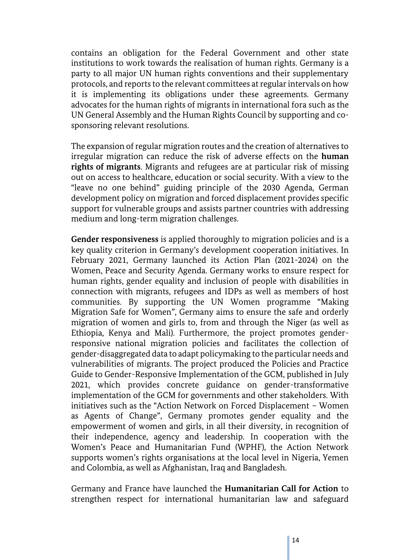contains an obligation for the Federal Government and other state institutions to work towards the realisation of human rights. Germany is a party to all major UN human rights conventions and their supplementary protocols, and reports to the relevant committees at regular intervals on how it is implementing its obligations under these agreements. Germany advocates for the human rights of migrants in international fora such as the UN General Assembly and the Human Rights Council by supporting and cosponsoring relevant resolutions.

The expansion of regular migration routes and the creation of alternatives to irregular migration can reduce the risk of adverse effects on the **human rights of migrants**. Migrants and refugees are at particular risk of missing out on access to healthcare, education or social security. With a view to the "leave no one behind" guiding principle of the 2030 Agenda, German development policy on migration and forced displacement provides specific support for vulnerable groups and assists partner countries with addressing medium and long-term migration challenges.

**Gender responsiveness** is applied thoroughly to migration policies and is a key quality criterion in Germany's development cooperation initiatives. In February 2021, Germany launched its Action Plan (2021-2024) on the Women, Peace and Security Agenda. Germany works to ensure respect for human rights, gender equality and inclusion of people with disabilities in connection with migrants, refugees and IDPs as well as members of host communities. By supporting the UN Women programme "Making Migration Safe for Women", Germany aims to ensure the safe and orderly migration of women and girls to, from and through the Niger (as well as Ethiopia, Kenya and Mali). Furthermore, the project promotes genderresponsive national migration policies and facilitates the collection of gender-disaggregated data to adapt policymaking to the particular needs and vulnerabilities of migrants. The project produced the Policies and Practice Guide to Gender-Responsive Implementation of the GCM, published in July 2021, which provides concrete guidance on gender-transformative implementation of the GCM for governments and other stakeholders. With initiatives such as the "Action Network on Forced Displacement – Women as Agents of Change", Germany promotes gender equality and the empowerment of women and girls, in all their diversity, in recognition of their independence, agency and leadership. In cooperation with the Women's Peace and Humanitarian Fund (WPHF), the Action Network supports women's rights organisations at the local level in Nigeria, Yemen and Colombia, as well as Afghanistan, Iraq and Bangladesh.

Germany and France have launched the **Humanitarian Call for Action** to strengthen respect for international humanitarian law and safeguard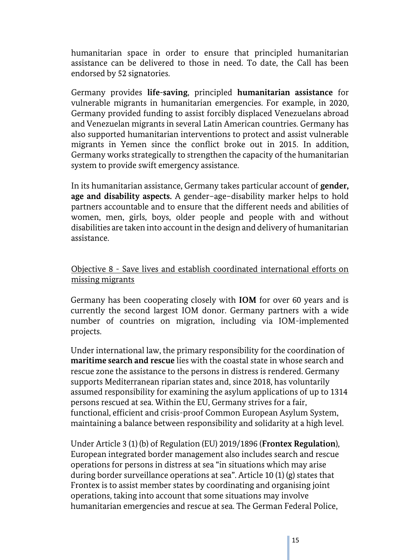humanitarian space in order to ensure that principled humanitarian assistance can be delivered to those in need. To date, the Call has been endorsed by 52 signatories.

Germany provides **life-saving**, principled **humanitarian assistance** for vulnerable migrants in humanitarian emergencies. For example, in 2020, Germany provided funding to assist forcibly displaced Venezuelans abroad and Venezuelan migrants in several Latin American countries. Germany has also supported humanitarian interventions to protect and assist vulnerable migrants in Yemen since the conflict broke out in 2015. In addition, Germany works strategically to strengthen the capacity of the humanitarian system to provide swift emergency assistance.

In its humanitarian assistance, Germany takes particular account of **gender, age and disability aspects.** A gender–age–disability marker helps to hold partners accountable and to ensure that the different needs and abilities of women, men, girls, boys, older people and people with and without disabilities are taken into account in the design and delivery of humanitarian assistance.

#### Objective 8 - Save lives and establish coordinated international efforts on missing migrants

Germany has been cooperating closely with **IOM** for over 60 years and is currently the second largest IOM donor. Germany partners with a wide number of countries on migration, including via IOM-implemented projects.

Under international law, the primary responsibility for the coordination of **maritime search and rescue** lies with the coastal state in whose search and rescue zone the assistance to the persons in distress is rendered. Germany supports Mediterranean riparian states and, since 2018, has voluntarily assumed responsibility for examining the asylum applications of up to 1314 persons rescued at sea. Within the EU, Germany strives for a fair, functional, efficient and crisis-proof Common European Asylum System, maintaining a balance between responsibility and solidarity at a high level.

Under Article 3 (1) (b) of Regulation (EU) 2019/1896 (**Frontex Regulation**), European integrated border management also includes search and rescue operations for persons in distress at sea "in situations which may arise during border surveillance operations at sea". Article 10 (1) (g) states that Frontex is to assist member states by coordinating and organising joint operations, taking into account that some situations may involve humanitarian emergencies and rescue at sea. The German Federal Police,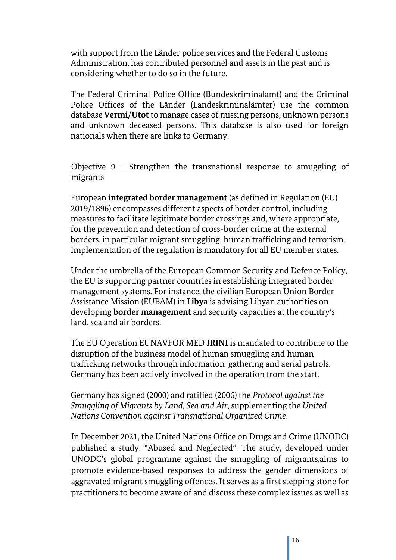with support from the Länder police services and the Federal Customs Administration, has contributed personnel and assets in the past and is considering whether to do so in the future.

The Federal Criminal Police Office (Bundeskriminalamt) and the Criminal Police Offices of the Länder (Landeskriminalämter) use the common database **Vermi/Utot** to manage cases of missing persons, unknown persons and unknown deceased persons. This database is also used for foreign nationals when there are links to Germany.

#### Objective 9 - Strengthen the transnational response to smuggling of migrants

European **integrated border management** (as defined in Regulation (EU) 2019/1896) encompasses different aspects of border control, including measures to facilitate legitimate border crossings and, where appropriate, for the prevention and detection of cross-border crime at the external borders, in particular migrant smuggling, human trafficking and terrorism. Implementation of the regulation is mandatory for all EU member states.

Under the umbrella of the European Common Security and Defence Policy, the EU is supporting partner countries in establishing integrated border management systems. For instance, the civilian European Union Border Assistance Mission (EUBAM) in **Libya** is advising Libyan authorities on developing **border management** and security capacities at the country's land, sea and air borders.

The EU Operation EUNAVFOR MED **IRINI** is mandated to contribute to the disruption of the business model of human smuggling and human trafficking networks through information-gathering and aerial patrols. Germany has been actively involved in the operation from the start.

Germany has signed (2000) and ratified (2006) the *Protocol against the Smuggling of Migrants by Land, Sea and Air*, supplementing the *United Nations Convention against Transnational Organized Crime*.

In December 2021, the United Nations Office on Drugs and Crime (UNODC) published a study: "Abused and Neglected". The study, developed under UNODC's global programme against the smuggling of migrants,aims to promote evidence-based responses to address the gender dimensions of aggravated migrant smuggling offences. It serves as a first stepping stone for practitioners to become aware of and discuss these complex issues as well as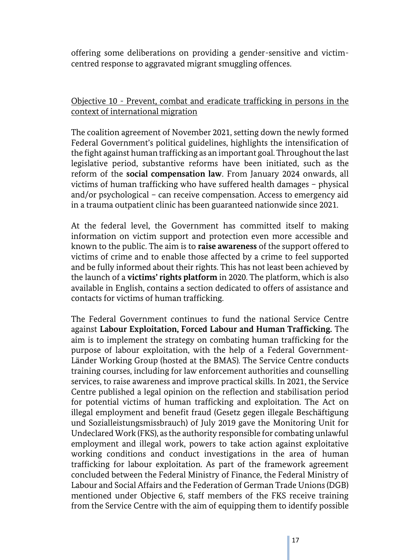offering some deliberations on providing a gender-sensitive and victimcentred response to aggravated migrant smuggling offences.

#### Objective 10 - Prevent, combat and eradicate trafficking in persons in the context of international migration

The coalition agreement of November 2021, setting down the newly formed Federal Government's political guidelines, highlights the intensification of the fight against human trafficking as an important goal. Throughout the last legislative period, substantive reforms have been initiated, such as the reform of the **social compensation law**. From January 2024 onwards, all victims of human trafficking who have suffered health damages – physical and/or psychological – can receive compensation. Access to emergency aid in a trauma outpatient clinic has been guaranteed nationwide since 2021.

At the federal level, the Government has committed itself to making information on victim support and protection even more accessible and known to the public. The aim is to **raise awareness** of the support offered to victims of crime and to enable those affected by a crime to feel supported and be fully informed about their rights. This has not least been achieved by the launch of a **victims' rights platform** in 2020. The platform, which is also available in English, contains a section dedicated to offers of assistance and contacts for victims of human trafficking.

The Federal Government continues to fund the national Service Centre against **Labour Exploitation, Forced Labour and Human Trafficking.** The aim is to implement the strategy on combating human trafficking for the purpose of labour exploitation, with the help of a Federal Government-Länder Working Group (hosted at the BMAS). The Service Centre conducts training courses, including for law enforcement authorities and counselling services, to raise awareness and improve practical skills. In 2021, the Service Centre published a legal opinion on the reflection and stabilisation period for potential victims of human trafficking and exploitation. The Act on illegal employment and benefit fraud (Gesetz gegen illegale Beschäftigung und Sozialleistungsmissbrauch) of July 2019 gave the Monitoring Unit for Undeclared Work (FKS), as the authority responsible for combating unlawful employment and illegal work, powers to take action against exploitative working conditions and conduct investigations in the area of human trafficking for labour exploitation. As part of the framework agreement concluded between the Federal Ministry of Finance, the Federal Ministry of Labour and Social Affairs and the Federation of German Trade Unions (DGB) mentioned under Objective 6, staff members of the FKS receive training from the Service Centre with the aim of equipping them to identify possible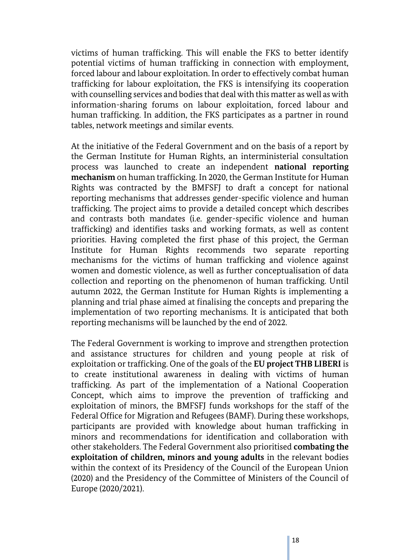victims of human trafficking. This will enable the FKS to better identify potential victims of human trafficking in connection with employment, forced labour and labour exploitation. In order to effectively combat human trafficking for labour exploitation, the FKS is intensifying its cooperation with counselling services and bodies that deal with this matter as well as with information-sharing forums on labour exploitation, forced labour and human trafficking. In addition, the FKS participates as a partner in round tables, network meetings and similar events.

At the initiative of the Federal Government and on the basis of a report by the German Institute for Human Rights, an interministerial consultation process was launched to create an independent **national reporting mechanism** on human trafficking. In 2020, the German Institute for Human Rights was contracted by the BMFSFJ to draft a concept for national reporting mechanisms that addresses gender-specific violence and human trafficking. The project aims to provide a detailed concept which describes and contrasts both mandates (i.e. gender-specific violence and human trafficking) and identifies tasks and working formats, as well as content priorities. Having completed the first phase of this project, the German Institute for Human Rights recommends two separate reporting mechanisms for the victims of human trafficking and violence against women and domestic violence, as well as further conceptualisation of data collection and reporting on the phenomenon of human trafficking. Until autumn 2022, the German Institute for Human Rights is implementing a planning and trial phase aimed at finalising the concepts and preparing the implementation of two reporting mechanisms. It is anticipated that both reporting mechanisms will be launched by the end of 2022.

The Federal Government is working to improve and strengthen protection and assistance structures for children and young people at risk of exploitation or trafficking. One of the goals of the **EU project THB LIBERI** is to create institutional awareness in dealing with victims of human trafficking. As part of the implementation of a National Cooperation Concept, which aims to improve the prevention of trafficking and exploitation of minors, the BMFSFJ funds workshops for the staff of the Federal Office for Migration and Refugees (BAMF). During these workshops, participants are provided with knowledge about human trafficking in minors and recommendations for identification and collaboration with other stakeholders. The Federal Government also prioritised **combating the exploitation of children, minors and young adults** in the relevant bodies within the context of its Presidency of the Council of the European Union (2020) and the Presidency of the Committee of Ministers of the Council of Europe (2020/2021).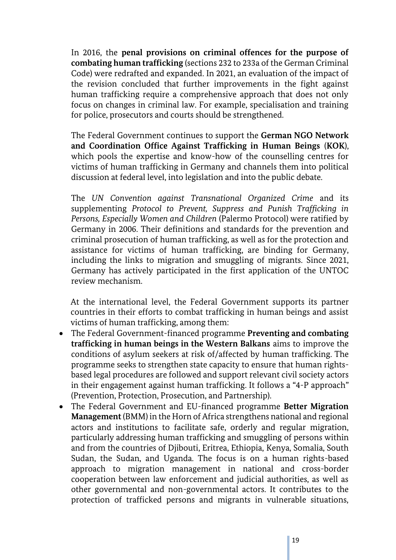In 2016, the **penal provisions on criminal offences for the purpose of combating human trafficking** (sections 232 to 233a of the German Criminal Code) were redrafted and expanded. In 2021, an evaluation of the impact of the revision concluded that further improvements in the fight against human trafficking require a comprehensive approach that does not only focus on changes in criminal law. For example, specialisation and training for police, prosecutors and courts should be strengthened.

The Federal Government continues to support the **German NGO Network and Coordination Office Against Trafficking in Human Beings** (**KOK**), which pools the expertise and know-how of the counselling centres for victims of human trafficking in Germany and channels them into political discussion at federal level, into legislation and into the public debate.

The *UN Convention against Transnational Organized Crime* and its supplementing *Protocol to Prevent, Suppress and Punish Trafficking in Persons, Especially Women and Children* (Palermo Protocol) were ratified by Germany in 2006. Their definitions and standards for the prevention and criminal prosecution of human trafficking, as well as for the protection and assistance for victims of human trafficking, are binding for Germany, including the links to migration and smuggling of migrants. Since 2021, Germany has actively participated in the first application of the UNTOC review mechanism.

At the international level, the Federal Government supports its partner countries in their efforts to combat trafficking in human beings and assist victims of human trafficking, among them:

- The Federal Government-financed programme **Preventing and combating trafficking in human beings in the Western Balkans** aims to improve the conditions of asylum seekers at risk of/affected by human trafficking. The programme seeks to strengthen state capacity to ensure that human rightsbased legal procedures are followed and support relevant civil society actors in their engagement against human trafficking. It follows a "4-P approach" (Prevention, Protection, Prosecution, and Partnership).
- The Federal Government and EU-financed programme **Better Migration Management** (BMM) in the Horn of Africa strengthens national and regional actors and institutions to facilitate safe, orderly and regular migration, particularly addressing human trafficking and smuggling of persons within and from the countries of Djibouti, Eritrea, Ethiopia, Kenya, Somalia, South Sudan, the Sudan, and Uganda. The focus is on a human rights-based approach to migration management in national and cross-border cooperation between law enforcement and judicial authorities, as well as other governmental and non-governmental actors. It contributes to the protection of trafficked persons and migrants in vulnerable situations,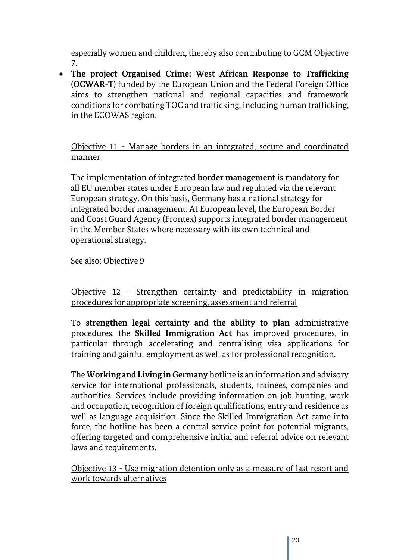especially women and children, thereby also contributing to GCM Objective 7.

 **The project Organised Crime: West African Response to Trafficking (OCWAR-T)** funded by the European Union and the Federal Foreign Office aims to strengthen national and regional capacities and framework conditions for combating TOC and trafficking, including human trafficking, in the ECOWAS region.

Objective 11 - Manage borders in an integrated, secure and coordinated manner

The implementation of integrated **border management** is mandatory for all EU member states under European law and regulated via the relevant European strategy. On this basis, Germany has a national strategy for integrated border management. At European level, the European Border and Coast Guard Agency (Frontex) supports integrated border management in the Member States where necessary with its own technical and operational strategy.

See also: Objective 9

Objective 12 - Strengthen certainty and predictability in migration procedures for appropriate screening, assessment and referral

To **strengthen legal certainty and the ability to plan** administrative procedures, the **Skilled Immigration Act** has improved procedures, in particular through accelerating and centralising visa applications for training and gainful employment as well as for professional recognition.

The **Working and Living in Germany** hotline is an information and advisory service for international professionals, students, trainees, companies and authorities. Services include providing information on job hunting, work and occupation, recognition of foreign qualifications, entry and residence as well as language acquisition. Since the Skilled Immigration Act came into force, the hotline has been a central service point for potential migrants, offering targeted and comprehensive initial and referral advice on relevant laws and requirements.

Objective 13 - Use migration detention only as a measure of last resort and work towards alternatives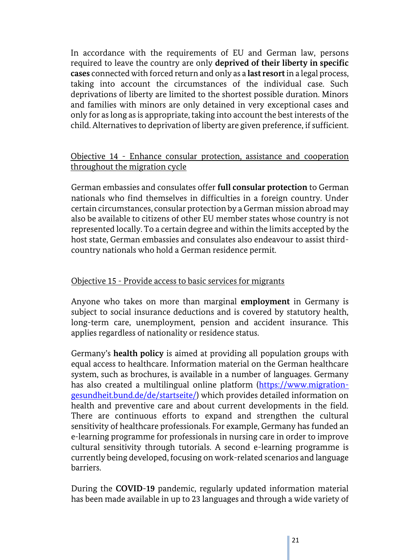In accordance with the requirements of EU and German law, persons required to leave the country are only **deprived of their liberty in specific cases** connected with forced return and only as a **last resort**in a legal process, taking into account the circumstances of the individual case. Such deprivations of liberty are limited to the shortest possible duration. Minors and families with minors are only detained in very exceptional cases and only for as long as is appropriate, taking into account the best interests of the child. Alternatives to deprivation of liberty are given preference, if sufficient.

#### Objective 14 - Enhance consular protection, assistance and cooperation throughout the migration cycle

German embassies and consulates offer **full consular protection** to German nationals who find themselves in difficulties in a foreign country. Under certain circumstances, consular protection by a German mission abroad may also be available to citizens of other EU member states whose country is not represented locally. To a certain degree and within the limits accepted by the host state, German embassies and consulates also endeavour to assist thirdcountry nationals who hold a German residence permit.

#### Objective 15 - Provide access to basic services for migrants

Anyone who takes on more than marginal **employment** in Germany is subject to social insurance deductions and is covered by statutory health, long-term care, unemployment, pension and accident insurance. This applies regardless of nationality or residence status.

Germany's **health policy** is aimed at providing all population groups with equal access to healthcare. Information material on the German healthcare system, such as brochures, is available in a number of languages. Germany has also created a multilingual online platform [\(https://www.migration](https://www.migration-gesundheit.bund.de/de/startseite/)[gesundheit.bund.de/de/startseite/\)](https://www.migration-gesundheit.bund.de/de/startseite/) which provides detailed information on health and preventive care and about current developments in the field. There are continuous efforts to expand and strengthen the cultural sensitivity of healthcare professionals. For example, Germany has funded an e-learning programme for professionals in nursing care in order to improve cultural sensitivity through tutorials. A second e-learning programme is currently being developed, focusing on work-related scenarios and language barriers.

During the **COVID-19** pandemic, regularly updated information material has been made available in up to 23 languages and through a wide variety of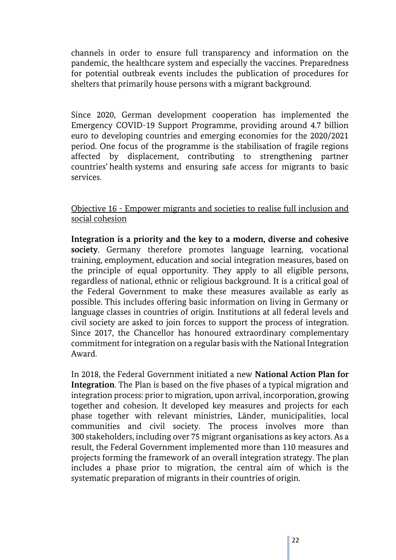channels in order to ensure full transparency and information on the pandemic, the healthcare system and especially the vaccines. Preparedness for potential outbreak events includes the publication of procedures for shelters that primarily house persons with a migrant background.

Since 2020, German development cooperation has implemented the Emergency COVID-19 Support Programme, providing around 4.7 billion euro to developing countries and emerging economies for the 2020/2021 period. One focus of the programme is the stabilisation of fragile regions affected by displacement, contributing to strengthening partner countries' health systems and ensuring safe access for migrants to basic services.

Objective 16 - Empower migrants and societies to realise full inclusion and social cohesion

**Integration is a priority and the key to a modern, diverse and cohesive society**. Germany therefore promotes language learning, vocational training, employment, education and social integration measures, based on the principle of equal opportunity. They apply to all eligible persons, regardless of national, ethnic or religious background. It is a critical goal of the Federal Government to make these measures available as early as possible. This includes offering basic information on living in Germany or language classes in countries of origin. Institutions at all federal levels and civil society are asked to join forces to support the process of integration. Since 2017, the Chancellor has honoured extraordinary complementary commitment for integration on a regular basis with the National Integration Award.

In 2018, the Federal Government initiated a new **National Action Plan for Integration**. The Plan is based on the five phases of a typical migration and integration process: prior to migration, upon arrival, incorporation, growing together and cohesion. It developed key measures and projects for each phase together with relevant ministries, Länder, municipalities, local communities and civil society. The process involves more than 300 stakeholders, including over 75 migrant organisations as key actors. As a result, the Federal Government implemented more than 110 measures and projects forming the framework of an overall integration strategy. The plan includes a phase prior to migration, the central aim of which is the systematic preparation of migrants in their countries of origin.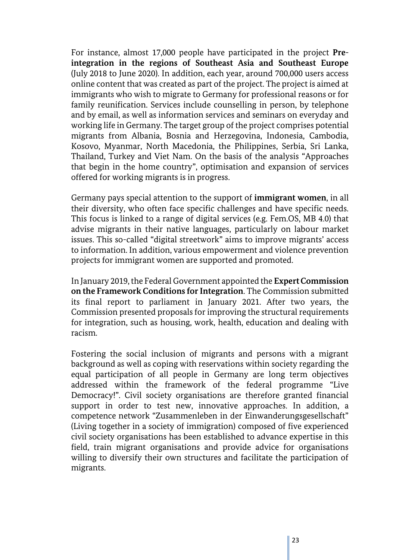For instance, almost 17,000 people have participated in the project **Preintegration in the regions of Southeast Asia and Southeast Europe**  (July 2018 to June 2020). In addition, each year, around 700,000 users access online content that was created as part of the project. The project is aimed at immigrants who wish to migrate to Germany for professional reasons or for family reunification. Services include counselling in person, by telephone and by email, as well as information services and seminars on everyday and working life in Germany. The target group of the project comprises potential migrants from Albania, Bosnia and Herzegovina, Indonesia, Cambodia, Kosovo, Myanmar, North Macedonia, the Philippines, Serbia, Sri Lanka, Thailand, Turkey and Viet Nam. On the basis of the analysis "Approaches that begin in the home country", optimisation and expansion of services offered for working migrants is in progress.

Germany pays special attention to the support of **immigrant women**, in all their diversity, who often face specific challenges and have specific needs. This focus is linked to a range of digital services (e.g. Fem.OS, MB 4.0) that advise migrants in their native languages, particularly on labour market issues. This so-called "digital streetwork" aims to improve migrants' access to information. In addition, various empowerment and violence prevention projects for immigrant women are supported and promoted.

In January 2019, the Federal Government appointed the **Expert Commission on the Framework Conditions for Integration**. The Commission submitted its final report to parliament in January 2021. After two years, the Commission presented proposals for improving the structural requirements for integration, such as housing, work, health, education and dealing with racism.

Fostering the social inclusion of migrants and persons with a migrant background as well as coping with reservations within society regarding the equal participation of all people in Germany are long term objectives addressed within the framework of the federal programme "Live Democracy!". Civil society organisations are therefore granted financial support in order to test new, innovative approaches. In addition, a competence network "Zusammenleben in der Einwanderungsgesellschaft" (Living together in a society of immigration) composed of five experienced civil society organisations has been established to advance expertise in this field, train migrant organisations and provide advice for organisations willing to diversify their own structures and facilitate the participation of migrants.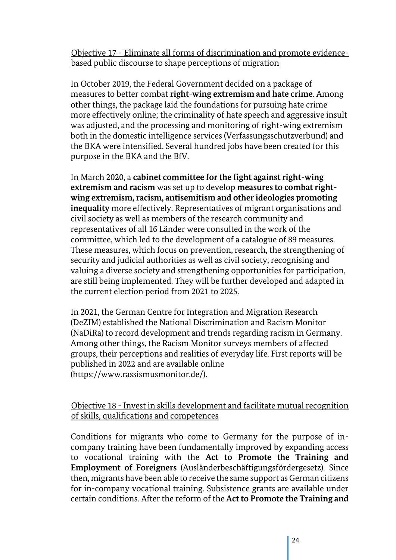Objective 17 - Eliminate all forms of discrimination and promote evidencebased public discourse to shape perceptions of migration

In October 2019, the Federal Government decided on a package of measures to better combat **right-wing extremism and hate crime**. Among other things, the package laid the foundations for pursuing hate crime more effectively online; the criminality of hate speech and aggressive insult was adjusted, and the processing and monitoring of right-wing extremism both in the domestic intelligence services (Verfassungsschutzverbund) and the BKA were intensified. Several hundred jobs have been created for this purpose in the BKA and the BfV.

In March 2020, a **cabinet committee for the fight against right-wing extremism and racism** was set up to develop **measures to combat rightwing extremism, racism, antisemitism and other ideologies promoting inequality** more effectively. Representatives of migrant organisations and civil society as well as members of the research community and representatives of all 16 Länder were consulted in the work of the committee, which led to the development of a catalogue of 89 measures. These measures, which focus on prevention, research, the strengthening of security and judicial authorities as well as civil society, recognising and valuing a diverse society and strengthening opportunities for participation, are still being implemented. They will be further developed and adapted in the current election period from 2021 to 2025.

In 2021, the German Centre for Integration and Migration Research (DeZIM) established the National Discrimination and Racism Monitor (NaDiRa) to record development and trends regarding racism in Germany. Among other things, the Racism Monitor surveys members of affected groups, their perceptions and realities of everyday life. First reports will be published in 2022 and are available online (https://www.rassismusmonitor.de/).

### Objective 18 - Invest in skills development and facilitate mutual recognition of skills, qualifications and competences

Conditions for migrants who come to Germany for the purpose of incompany training have been fundamentally improved by expanding access to vocational training with the **Act to Promote the Training and Employment of Foreigners** (Ausländerbeschäftigungsfördergesetz). Since then, migrants have been able to receive the same support as German citizens for in-company vocational training. Subsistence grants are available under certain conditions. After the reform of the **Act to Promote the Training and**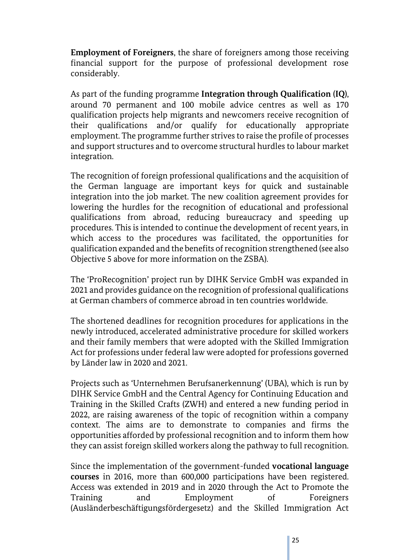**Employment of Foreigners**, the share of foreigners among those receiving financial support for the purpose of professional development rose considerably.

As part of the funding programme **Integration through Qualification (IQ)**, around 70 permanent and 100 mobile advice centres as well as 170 qualification projects help migrants and newcomers receive recognition of their qualifications and/or qualify for educationally appropriate employment. The programme further strives to raise the profile of processes and support structures and to overcome structural hurdles to labour market integration.

The recognition of foreign professional qualifications and the acquisition of the German language are important keys for quick and sustainable integration into the job market. The new coalition agreement provides for lowering the hurdles for the recognition of educational and professional qualifications from abroad, reducing bureaucracy and speeding up procedures. This is intended to continue the development of recent years, in which access to the procedures was facilitated, the opportunities for qualification expanded and the benefits of recognition strengthened (see also Objective 5 above for more information on the ZSBA).

The 'ProRecognition' project run by DIHK Service GmbH was expanded in 2021 and provides guidance on the recognition of professional qualifications at German chambers of commerce abroad in ten countries worldwide.

The shortened deadlines for recognition procedures for applications in the newly introduced, accelerated administrative procedure for skilled workers and their family members that were adopted with the Skilled Immigration Act for professions under federal law were adopted for professions governed by Länder law in 2020 and 2021.

Projects such as 'Unternehmen Berufsanerkennung' (UBA), which is run by DIHK Service GmbH and the Central Agency for Continuing Education and Training in the Skilled Crafts (ZWH) and entered a new funding period in 2022, are raising awareness of the topic of recognition within a company context. The aims are to demonstrate to companies and firms the opportunities afforded by professional recognition and to inform them how they can assist foreign skilled workers along the pathway to full recognition.

Since the implementation of the government-funded **vocational language courses** in 2016, more than 600,000 participations have been registered. Access was extended in 2019 and in 2020 through the Act to Promote the Training and Employment of Foreigners (Ausländerbeschäftigungsfördergesetz) and the Skilled Immigration Act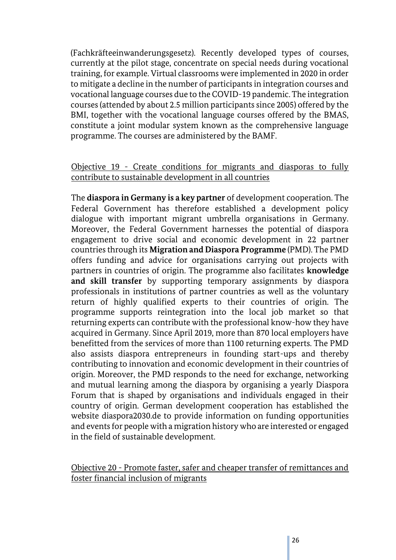(Fachkräfteeinwanderungsgesetz). Recently developed types of courses, currently at the pilot stage, concentrate on special needs during vocational training, for example. Virtual classrooms were implemented in 2020 in order to mitigate a decline in the number of participants in integration courses and vocational language courses due to the COVID-19 pandemic. The integration courses (attended by about 2.5 million participants since 2005) offered by the BMI, together with the vocational language courses offered by the BMAS, constitute a joint modular system known as the comprehensive language programme. The courses are administered by the BAMF.

#### Objective 19 - Create conditions for migrants and diasporas to fully contribute to sustainable development in all countries

The **diaspora in Germany is a key partner** of development cooperation. The Federal Government has therefore established a development policy dialogue with important migrant umbrella organisations in Germany. Moreover, the Federal Government harnesses the potential of diaspora engagement to drive social and economic development in 22 partner countriesthrough its **Migration and Diaspora Programme** (PMD). The PMD offers funding and advice for organisations carrying out projects with partners in countries of origin. The programme also facilitates **knowledge and skill transfer** by supporting temporary assignments by diaspora professionals in institutions of partner countries as well as the voluntary return of highly qualified experts to their countries of origin. The programme supports reintegration into the local job market so that returning experts can contribute with the professional know-how they have acquired in Germany. Since April 2019, more than 870 local employers have benefitted from the services of more than 1100 returning experts. The PMD also assists diaspora entrepreneurs in founding start-ups and thereby contributing to innovation and economic development in their countries of origin. Moreover, the PMD responds to the need for exchange, networking and mutual learning among the diaspora by organising a yearly Diaspora Forum that is shaped by organisations and individuals engaged in their country of origin. German development cooperation has established the website diaspora2030.de to provide information on funding opportunities and events for people with a migration history who are interested or engaged in the field of sustainable development.

#### Objective 20 - Promote faster, safer and cheaper transfer of remittances and foster financial inclusion of migrants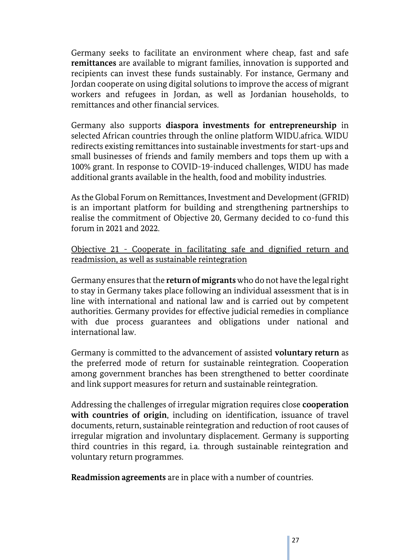Germany seeks to facilitate an environment where cheap, fast and safe **remittances** are available to migrant families, innovation is supported and recipients can invest these funds sustainably. For instance, Germany and Jordan cooperate on using digital solutions to improve the access of migrant workers and refugees in Jordan, as well as Jordanian households, to remittances and other financial services.

Germany also supports **diaspora investments for entrepreneurship** in selected African countries through the online platform WIDU.africa. WIDU redirects existing remittances into sustainable investments for start-ups and small businesses of friends and family members and tops them up with a 100% grant. In response to COVID-19-induced challenges, WIDU has made additional grants available in the health, food and mobility industries.

Asthe Global Forum on Remittances, Investment and Development (GFRID) is an important platform for building and strengthening partnerships to realise the commitment of Objective 20, Germany decided to co-fund this forum in 2021 and 2022.

#### Objective 21 - Cooperate in facilitating safe and dignified return and readmission, as well as sustainable reintegration

Germany ensures that the **return of migrants** who do not have the legal right to stay in Germany takes place following an individual assessment that is in line with international and national law and is carried out by competent authorities. Germany provides for effective judicial remedies in compliance with due process guarantees and obligations under national and international law.

Germany is committed to the advancement of assisted **voluntary return** as the preferred mode of return for sustainable reintegration. Cooperation among government branches has been strengthened to better coordinate and link support measures for return and sustainable reintegration.

Addressing the challenges of irregular migration requires close **cooperation with countries of origin**, including on identification, issuance of travel documents, return, sustainable reintegration and reduction of root causes of irregular migration and involuntary displacement. Germany is supporting third countries in this regard, i.a. through sustainable reintegration and voluntary return programmes.

**Readmission agreements** are in place with a number of countries.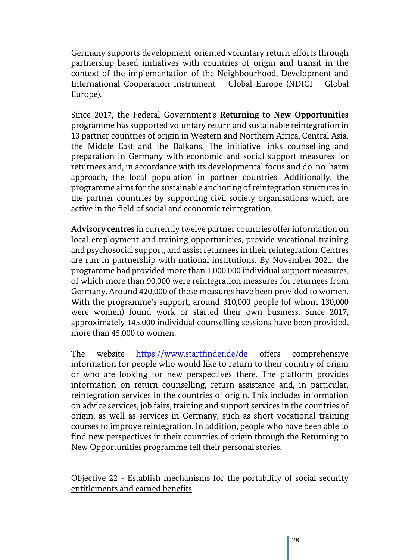Germany supports development-oriented voluntary return efforts through partnership-based initiatives with countries of origin and transit in the context of the implementation of the Neighbourhood, Development and International Cooperation Instrument – Global Europe (NDICI – Global Europe).

Since 2017, the Federal Government's **Returning to New Opportunities** programme has supported voluntary return and sustainable reintegration in 13 partner countries of origin in Western and Northern Africa, Central Asia, the Middle East and the Balkans. The initiative links counselling and preparation in Germany with economic and social support measures for returnees and, in accordance with its developmental focus and do-no-harm approach, the local population in partner countries. Additionally, the programme aims for the sustainable anchoring of reintegration structures in the partner countries by supporting civil society organisations which are active in the field of social and economic reintegration.

**Advisory centres** in currently twelve partner countries offer information on local employment and training opportunities, provide vocational training and psychosocial support, and assist returnees in their reintegration. Centres are run in partnership with national institutions. By November 2021, the programme had provided more than 1,000,000 individual support measures, of which more than 90,000 were reintegration measures for returnees from Germany. Around 420,000 of these measures have been provided to women. With the programme's support, around 310,000 people (of whom 130,000 were women) found work or started their own business. Since 2017, approximately 145,000 individual counselling sessions have been provided, more than 45,000 to women.

The website <https://www.startfinder.de/de> offers comprehensive information for people who would like to return to their country of origin or who are looking for new perspectives there. The platform provides information on return counselling, return assistance and, in particular, reintegration services in the countries of origin. This includes information on advice services, job fairs, training and support services in the countries of origin, as well as services in Germany, such as short vocational training courses to improve reintegration. In addition, people who have been able to find new perspectives in their countries of origin through the Returning to New Opportunities programme tell their personal stories.

#### Objective 22 - Establish mechanisms for the portability of social security entitlements and earned benefits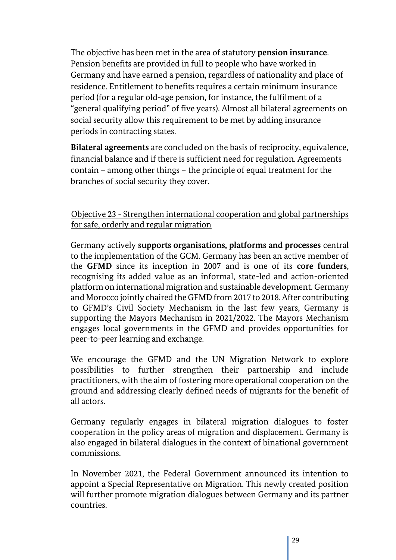The objective has been met in the area of statutory **pension insurance**. Pension benefits are provided in full to people who have worked in Germany and have earned a pension, regardless of nationality and place of residence. Entitlement to benefits requires a certain minimum insurance period (for a regular old-age pension, for instance, the fulfilment of a "general qualifying period" of five years). Almost all bilateral agreements on social security allow this requirement to be met by adding insurance periods in contracting states.

**Bilateral agreements** are concluded on the basis of reciprocity, equivalence, financial balance and if there is sufficient need for regulation. Agreements contain – among other things – the principle of equal treatment for the branches of social security they cover.

#### Objective 23 - Strengthen international cooperation and global partnerships for safe, orderly and regular migration

Germany actively **supports organisations, platforms and processes** central to the implementation of the GCM. Germany has been an active member of the **GFMD** since its inception in 2007 and is one of its **core funders**, recognising its added value as an informal, state-led and action-oriented platform on international migration and sustainable development. Germany and Morocco jointly chaired the GFMD from 2017 to 2018. After contributing to GFMD's Civil Society Mechanism in the last few years, Germany is supporting the Mayors Mechanism in 2021/2022. The Mayors Mechanism engages local governments in the GFMD and provides opportunities for peer-to-peer learning and exchange.

We encourage the GFMD and the UN Migration Network to explore possibilities to further strengthen their partnership and include practitioners, with the aim of fostering more operational cooperation on the ground and addressing clearly defined needs of migrants for the benefit of all actors.

Germany regularly engages in bilateral migration dialogues to foster cooperation in the policy areas of migration and displacement. Germany is also engaged in bilateral dialogues in the context of binational government commissions.

In November 2021, the Federal Government announced its intention to appoint a Special Representative on Migration. This newly created position will further promote migration dialogues between Germany and its partner countries.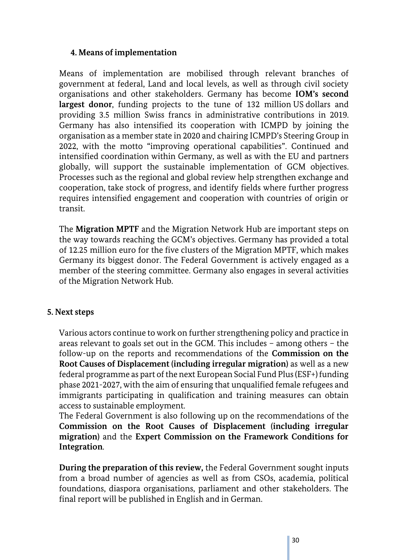#### **4. Means of implementation**

Means of implementation are mobilised through relevant branches of government at federal, Land and local levels, as well as through civil society organisations and other stakeholders. Germany has become **IOM's second largest donor**, funding projects to the tune of 132 million US dollars and providing 3.5 million Swiss francs in administrative contributions in 2019. Germany has also intensified its cooperation with ICMPD by joining the organisation as a member state in 2020 and chairing ICMPD's Steering Group in 2022, with the motto "improving operational capabilities". Continued and intensified coordination within Germany, as well as with the EU and partners globally, will support the sustainable implementation of GCM objectives. Processes such as the regional and global review help strengthen exchange and cooperation, take stock of progress, and identify fields where further progress requires intensified engagement and cooperation with countries of origin or transit.

The **Migration MPTF** and the Migration Network Hub are important steps on the way towards reaching the GCM's objectives. Germany has provided a total of 12.25 million euro for the five clusters of the Migration MPTF, which makes Germany its biggest donor. The Federal Government is actively engaged as a member of the steering committee. Germany also engages in several activities of the Migration Network Hub.

#### **5. Next steps**

Various actors continue to work on further strengthening policy and practice in areas relevant to goals set out in the GCM. This includes – among others – the follow-up on the reports and recommendations of the **Commission on the Root Causes of Displacement (including irregular migration)** as well as a new federal programme as part of the next European Social Fund Plus (ESF+) funding phase 2021-2027, with the aim of ensuring that unqualified female refugees and immigrants participating in qualification and training measures can obtain access to sustainable employment.

The Federal Government is also following up on the recommendations of the **Commission on the Root Causes of Displacement (including irregular migration)** and the **Expert Commission on the Framework Conditions for Integration**.

**During the preparation of this review,** the Federal Government sought inputs from a broad number of agencies as well as from CSOs, academia, political foundations, diaspora organisations, parliament and other stakeholders. The final report will be published in English and in German.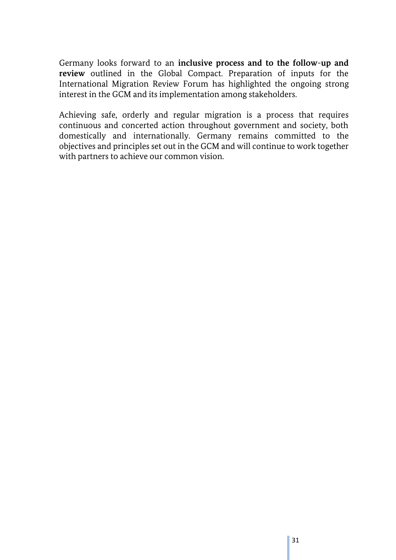Germany looks forward to an **inclusive process and to the follow-up and review** outlined in the Global Compact. Preparation of inputs for the International Migration Review Forum has highlighted the ongoing strong interest in the GCM and its implementation among stakeholders.

Achieving safe, orderly and regular migration is a process that requires continuous and concerted action throughout government and society, both domestically and internationally. Germany remains committed to the objectives and principles set out in the GCM and will continue to work together with partners to achieve our common vision.